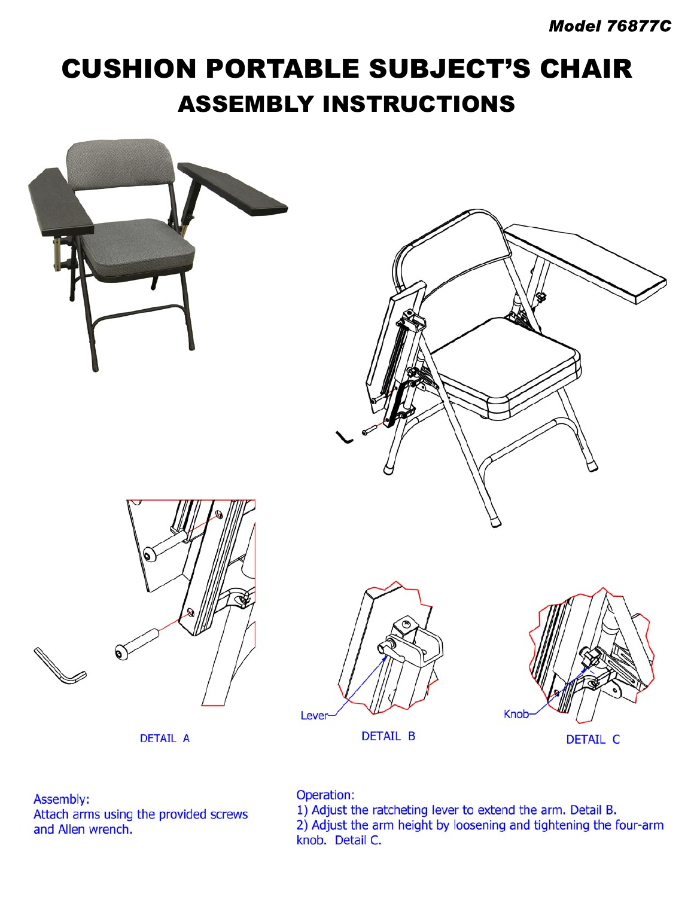## **CUSHION PORTABLE SUBJECT'S CHAIR ASSEMBLY INSTRUCTIONS**



Assembly: Attach arms using the provided screws and Allen wrench.

Operation:

1) Adjust the ratcheting lever to extend the arm. Detail B.<br>2) Adjust the arm height by loosening and tightening the four-arm knob. Detail C.